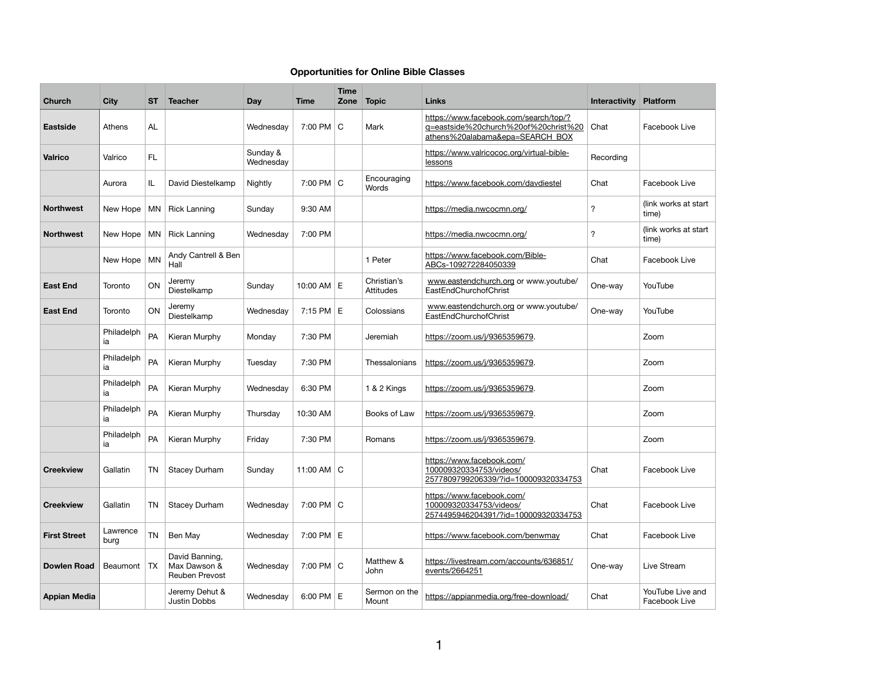## **Opportunities for Online Bible Classes**

| <b>Church</b>       | <b>City</b>      | <b>ST</b> | <b>Teacher</b>                                   | <b>Day</b>            | <b>Time</b>       | <b>Time</b><br>Zone | <b>Topic</b>                | <b>Links</b>                                                                                                     | <b>Interactivity</b> | <b>Platform</b>                   |
|---------------------|------------------|-----------|--------------------------------------------------|-----------------------|-------------------|---------------------|-----------------------------|------------------------------------------------------------------------------------------------------------------|----------------------|-----------------------------------|
| <b>Eastside</b>     | Athens           | <b>AL</b> |                                                  | Wednesday             | 7:00 PM C         |                     | Mark                        | https://www.facebook.com/search/top/?<br>g=eastside%20church%20of%20christ%20<br>athens%20alabama&epa=SEARCH_BOX | Chat                 | Facebook Live                     |
| <b>Valrico</b>      | Valrico          | FL        |                                                  | Sunday &<br>Wednesday |                   |                     |                             | https://www.valricococ.org/virtual-bible-<br>lessons                                                             | Recording            |                                   |
|                     | Aurora           | IL        | David Diestelkamp                                | Nightly               | 7:00 PM C         |                     | Encouraging<br><b>Words</b> | https://www.facebook.com/davdiestel                                                                              | Chat                 | Facebook Live                     |
| <b>Northwest</b>    | New Hope         | MN        | <b>Rick Lanning</b>                              | Sunday                | 9:30 AM           |                     |                             | https://media.nwcocmn.org/                                                                                       | $\boldsymbol{?}$     | (link works at start<br>time)     |
| <b>Northwest</b>    | New Hope         | MN        | <b>Rick Lanning</b>                              | Wednesday             | 7:00 PM           |                     |                             | https://media.nwcocmn.org/                                                                                       | $\boldsymbol{?}$     | (link works at start<br>time)     |
|                     | New Hope   MN    |           | Andy Cantrell & Ben<br>Hall                      |                       |                   |                     | 1 Peter                     | https://www.facebook.com/Bible-<br>ABCs-109272284050339                                                          | Chat                 | Facebook Live                     |
| <b>East End</b>     | Toronto          | ON        | Jeremy<br>Diestelkamp                            | Sunday                | 10:00 AM $E$      |                     | Christian's<br>Attitudes    | www.eastendchurch.org or www.youtube/<br>EastEndChurchofChrist                                                   | One-way              | YouTube                           |
| <b>East End</b>     | Toronto          | ON        | Jeremy<br>Diestelkamp                            | Wednesday             | 7:15 PM           | Е                   | Colossians                  | www.eastendchurch.org or www.youtube/<br>EastEndChurchofChrist                                                   | One-way              | YouTube                           |
|                     | Philadelph<br>ia | PA        | Kieran Murphy                                    | Monday                | 7:30 PM           |                     | Jeremiah                    | https://zoom.us/j/9365359679.                                                                                    |                      | Zoom                              |
|                     | Philadelph<br>ia | PA        | Kieran Murphy                                    | Tuesday               | 7:30 PM           |                     | Thessalonians               | https://zoom.us/j/9365359679.                                                                                    |                      | Zoom                              |
|                     | Philadelph<br>ia | PA        | Kieran Murphy                                    | Wednesday             | 6:30 PM           |                     | 1 & 2 Kings                 | https://zoom.us/j/9365359679.                                                                                    |                      | Zoom                              |
|                     | Philadelph<br>ia | PA        | Kieran Murphy                                    | Thursday              | 10:30 AM          |                     | Books of Law                | https://zoom.us/j/9365359679.                                                                                    |                      | Zoom                              |
|                     | Philadelph<br>ia | PA        | Kieran Murphy                                    | Friday                | 7:30 PM           |                     | Romans                      | https://zoom.us/j/9365359679                                                                                     |                      | Zoom                              |
| <b>Creekview</b>    | Gallatin         | <b>TN</b> | <b>Stacey Durham</b>                             | Sunday                | 11:00 AM $\mid$ C |                     |                             | https://www.facebook.com/<br>100009320334753/videos/<br>2577809799206339/?id=100009320334753                     | Chat                 | Facebook Live                     |
| <b>Creekview</b>    | Gallatin         | <b>TN</b> | <b>Stacey Durham</b>                             | Wednesday             | 7:00 PM C         |                     |                             | https://www.facebook.com/<br>100009320334753/videos/<br>2574495946204391/?id=100009320334753                     | Chat                 | Facebook Live                     |
| <b>First Street</b> | Lawrence<br>burg | <b>TN</b> | Ben May                                          | Wednesday             | 7:00 PM E         |                     |                             | https://www.facebook.com/benwmay                                                                                 | Chat                 | Facebook Live                     |
| <b>Dowlen Road</b>  | Beaumont   TX    |           | David Banning,<br>Max Dawson &<br>Reuben Prevost | Wednesday             | 7:00 PM C         |                     | Matthew &<br>John           | https://livestream.com/accounts/636851/<br>events/2664251                                                        | One-way              | Live Stream                       |
| <b>Appian Media</b> |                  |           | Jeremy Dehut &<br>Justin Dobbs                   | Wednesday             | $6:00$ PM $E$     |                     | Sermon on the<br>Mount      | https://appianmedia.org/free-download/                                                                           | Chat                 | YouTube Live and<br>Facebook Live |